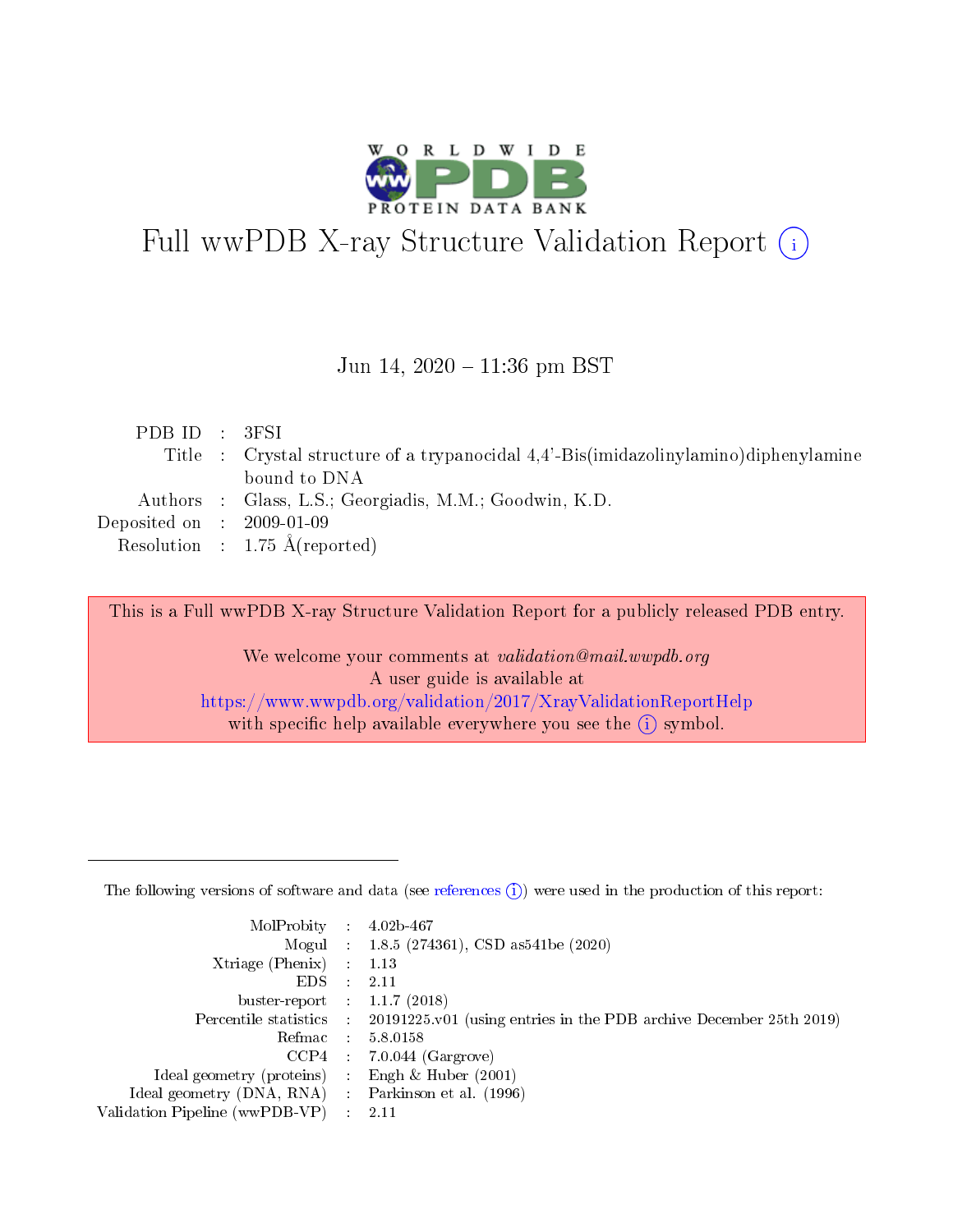

# Full wwPDB X-ray Structure Validation Report (i)

#### Jun 14,  $2020 - 11:36$  pm BST

| PDBID : 3FSI                |                                                                                      |
|-----------------------------|--------------------------------------------------------------------------------------|
|                             | Title : Crystal structure of a trypanocidal 4.4'-Bis(imidazolinylamino)diphenylamine |
|                             | bound to DNA                                                                         |
|                             | Authors : Glass, L.S.; Georgiadis, M.M.; Goodwin, K.D.                               |
| Deposited on : $2009-01-09$ |                                                                                      |
|                             | Resolution : $1.75 \text{ Å}$ (reported)                                             |

This is a Full wwPDB X-ray Structure Validation Report for a publicly released PDB entry.

We welcome your comments at validation@mail.wwpdb.org A user guide is available at <https://www.wwpdb.org/validation/2017/XrayValidationReportHelp> with specific help available everywhere you see the  $(i)$  symbol.

The following versions of software and data (see [references](https://www.wwpdb.org/validation/2017/XrayValidationReportHelp#references)  $(1)$ ) were used in the production of this report:

| MolProbity                     | $\mathcal{L}_{\rm{max}}$ | $4.02b - 467$                                                                |
|--------------------------------|--------------------------|------------------------------------------------------------------------------|
|                                |                          | Mogul : $1.8.5$ (274361), CSD as 541be (2020)                                |
| $X$ triage (Phenix) :          |                          | 1.13                                                                         |
| EDS.                           |                          | 2.11                                                                         |
| buster-report : $1.1.7$ (2018) |                          |                                                                              |
| Percentile statistics :        |                          | $20191225 \text{ v}01$ (using entries in the PDB archive December 25th 2019) |
| Refmac                         |                          | 5.8.0158                                                                     |
| $CCP4$ :                       |                          | $7.0.044$ (Gargrove)                                                         |
| Ideal geometry (proteins) :    |                          | Engh $\&$ Huber (2001)                                                       |
| Ideal geometry (DNA, RNA) :    |                          | Parkinson et al. (1996)                                                      |
| Validation Pipeline (wwPDB-VP) | $\mathcal{L}$            | -2.11                                                                        |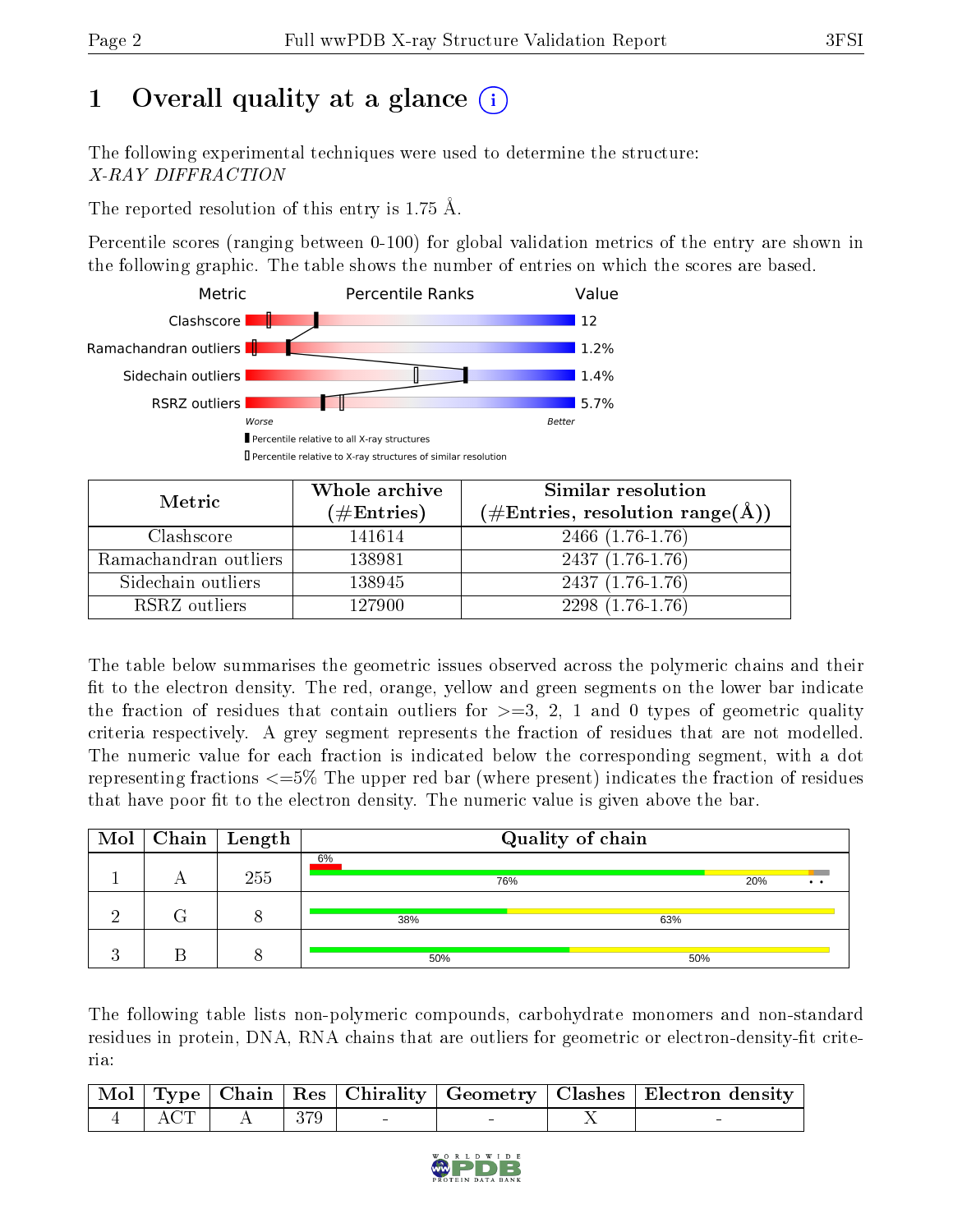# 1 [O](https://www.wwpdb.org/validation/2017/XrayValidationReportHelp#overall_quality)verall quality at a glance  $(i)$

The following experimental techniques were used to determine the structure: X-RAY DIFFRACTION

The reported resolution of this entry is 1.75 Å.

Percentile scores (ranging between 0-100) for global validation metrics of the entry are shown in the following graphic. The table shows the number of entries on which the scores are based.



| Metric                | Whole archive<br>$(\#\text{Entries})$ | <b>Similar resolution</b><br>$(\#\text{Entries}, \text{resolution range}(\AA))$ |
|-----------------------|---------------------------------------|---------------------------------------------------------------------------------|
| Clashscore            | 141614                                | 2466 (1.76-1.76)                                                                |
| Ramachandran outliers | 138981                                | $2437(1.76-1.76)$                                                               |
| Sidechain outliers    | 138945                                | $2437(1.76-1.76)$                                                               |
| RSRZ outliers         | 127900                                | $2298(1.76-1.76)$                                                               |

The table below summarises the geometric issues observed across the polymeric chains and their fit to the electron density. The red, orange, yellow and green segments on the lower bar indicate the fraction of residues that contain outliers for  $\geq=3$ , 2, 1 and 0 types of geometric quality criteria respectively. A grey segment represents the fraction of residues that are not modelled. The numeric value for each fraction is indicated below the corresponding segment, with a dot representing fractions  $\epsilon = 5\%$  The upper red bar (where present) indicates the fraction of residues that have poor fit to the electron density. The numeric value is given above the bar.

|  | $\boxed{\text{Mol}}$ Chain   Length | Quality of chain |                        |  |  |  |  |  |
|--|-------------------------------------|------------------|------------------------|--|--|--|--|--|
|  | 255                                 | 6%<br>76%        | 20%<br>$\cdot$ $\cdot$ |  |  |  |  |  |
|  |                                     | 38%              | 63%                    |  |  |  |  |  |
|  |                                     | 50%              | 50%                    |  |  |  |  |  |

The following table lists non-polymeric compounds, carbohydrate monomers and non-standard residues in protein, DNA, RNA chains that are outliers for geometric or electron-density-fit criteria:

|  |                                                     |  |  | Mol   Type   Chain   Res   Chirality   Geometry   Clashes   Electron density |
|--|-----------------------------------------------------|--|--|------------------------------------------------------------------------------|
|  | $\boxed{4}$ $\boxed{ACT}$ $\boxed{A}$ $\boxed{379}$ |  |  |                                                                              |

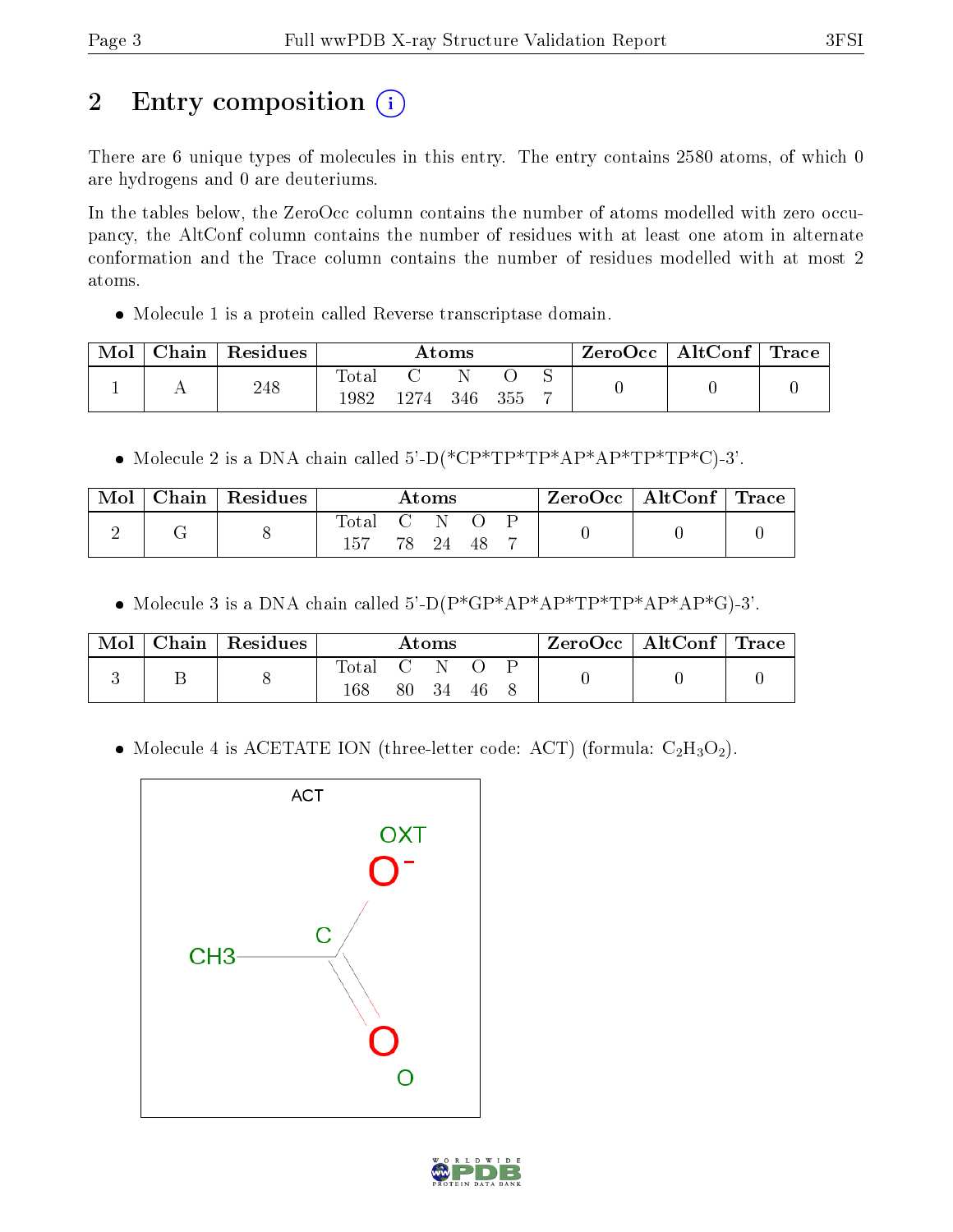# 2 Entry composition (i)

There are 6 unique types of molecules in this entry. The entry contains 2580 atoms, of which 0 are hydrogens and 0 are deuteriums.

In the tables below, the ZeroOcc column contains the number of atoms modelled with zero occupancy, the AltConf column contains the number of residues with at least one atom in alternate conformation and the Trace column contains the number of residues modelled with at most 2 atoms.

Molecule 1 is a protein called Reverse transcriptase domain.

| Mol | Chain | Residues |                          | Atoms  |         |  |  | $\mid$ ZeroOcc $\mid$ AltConf $\mid$ Trace |  |
|-----|-------|----------|--------------------------|--------|---------|--|--|--------------------------------------------|--|
|     |       | 248      | $\mathrm{Total}$<br>1982 | - 1274 | 346 355 |  |  |                                            |  |

Molecule 2 is a DNA chain called 5'-D(\*CP\*TP\*TP\*AP\*AP\*TP\*TP\*C)-3'.

| Mol | Chain   Residues | Atoms            |  |          | $\text{ZeroOcc}$   AltConf   Trace |  |  |  |
|-----|------------------|------------------|--|----------|------------------------------------|--|--|--|
|     |                  | Total C N<br>157 |  | 78 24 48 |                                    |  |  |  |

Molecule 3 is a DNA chain called 5'-D(P\*GP\*AP\*AP\*TP\*TP\*AP\*AP\*G)-3'.

| Mol | $\cap$ hain | Residues | $\rm\bf Atoms$     |            |    |    |  | $ZeroOcc \mid AltConf \mid Trace$ |  |
|-----|-------------|----------|--------------------|------------|----|----|--|-----------------------------------|--|
|     |             |          | $\rm Total$<br>168 | C N<br>80. | 34 | 46 |  |                                   |  |

• Molecule 4 is ACETATE ION (three-letter code: ACT) (formula:  $C_2H_3O_2$ ).



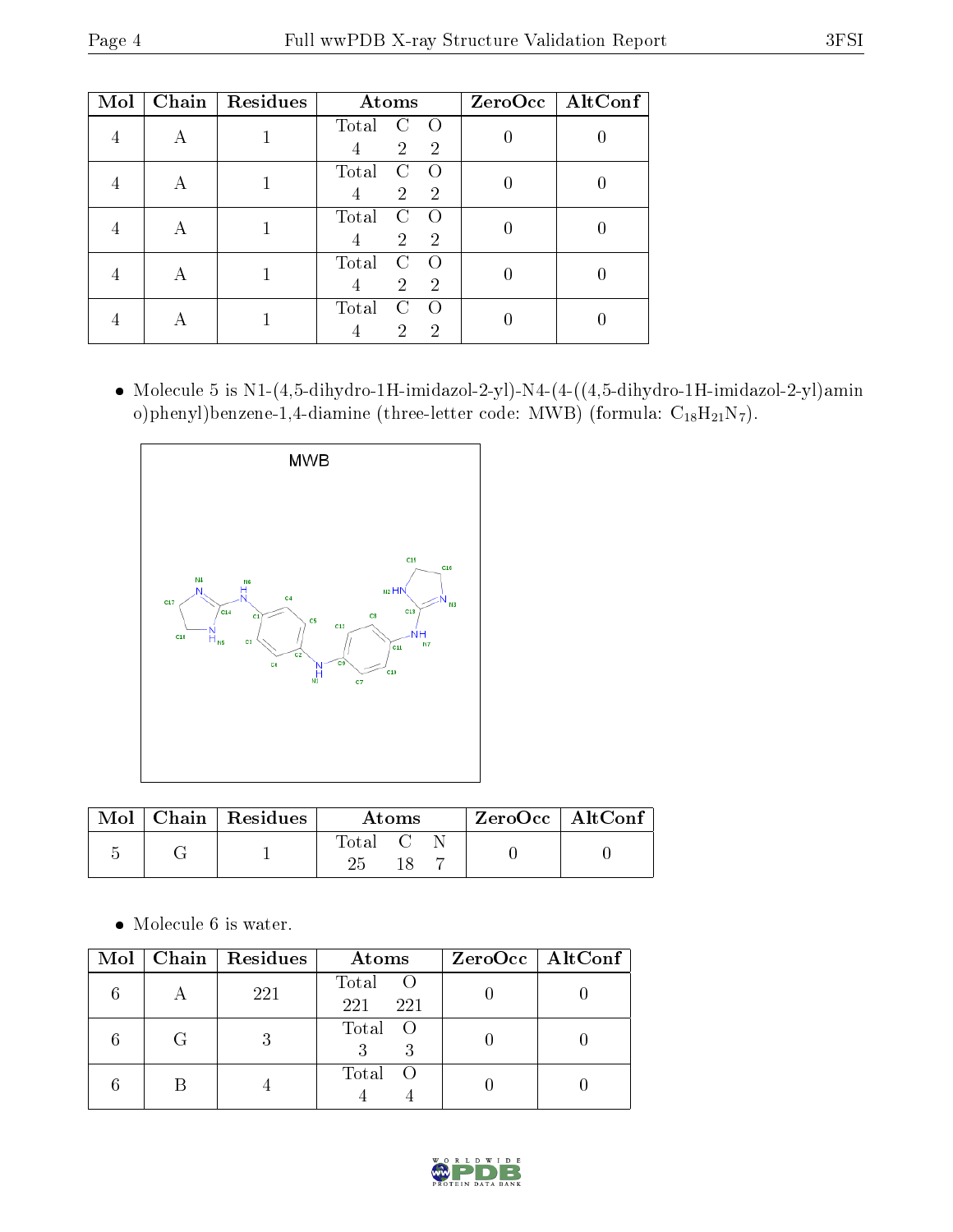| Mol |   | Chain   Residues | Atoms                                                                   | ZeroOcc   AltConf |
|-----|---|------------------|-------------------------------------------------------------------------|-------------------|
|     | А |                  | Total<br>C<br>$\left( \right)$<br>$\overline{2}$<br>$\overline{2}$<br>4 |                   |
|     |   |                  | Total<br>C<br>$\left($<br>$\overline{2}$<br>$\overline{2}$<br>4         |                   |
|     | А |                  | Total<br>C<br>$\Omega$<br>$\overline{2}$<br>$\overline{2}$              |                   |
|     | А |                  | Total<br>C<br>$\left($<br>$\overline{2}$<br>$\overline{2}$<br>4         |                   |
|     |   |                  | Total<br>$\cap$<br>2<br>2                                               |                   |

 Molecule 5 is N1-(4,5-dihydro-1H-imidazol-2-yl)-N4-(4-((4,5-dihydro-1H-imidazol-2-yl)amin o)phenyl)benzene-1,4-diamine (three-letter code: MWB) (formula:  $C_{18}H_{21}N_7$ ).



|  | $\text{Mol}$   Chain   Residues | Atoms |  |  | $ZeroOcc \   \ AltConf$ |  |
|--|---------------------------------|-------|--|--|-------------------------|--|
|  |                                 | fotal |  |  |                         |  |

Molecule 6 is water.

| Mol |   | Chain Residues | Atoms               | $ZeroOcc \   \ AltConf \  $ |
|-----|---|----------------|---------------------|-----------------------------|
|     |   | 221            | Total<br>221<br>221 |                             |
|     | G | 3              | Total<br>- ()<br>3  |                             |
|     |   |                | Total               |                             |

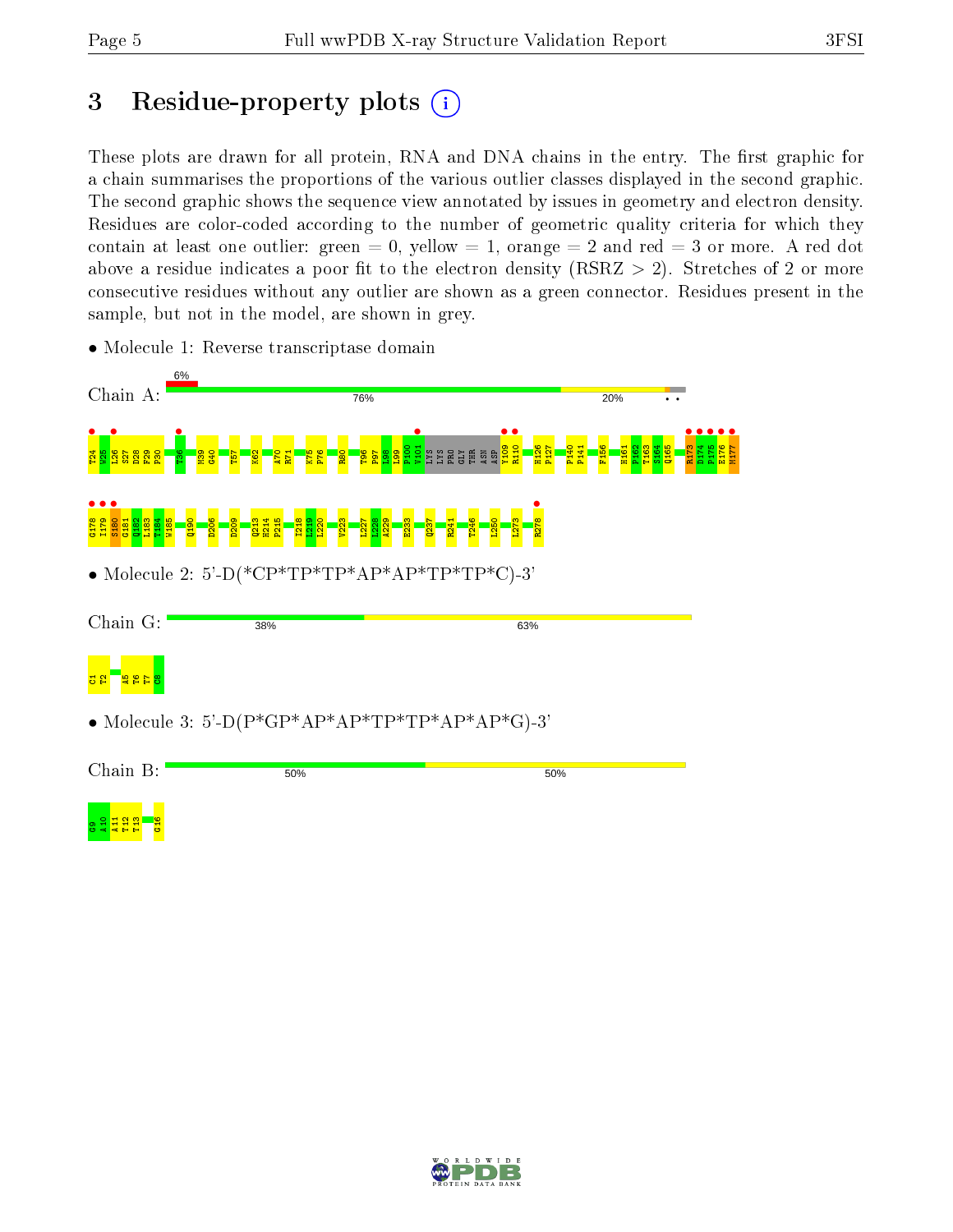# 3 Residue-property plots  $(i)$

These plots are drawn for all protein, RNA and DNA chains in the entry. The first graphic for a chain summarises the proportions of the various outlier classes displayed in the second graphic. The second graphic shows the sequence view annotated by issues in geometry and electron density. Residues are color-coded according to the number of geometric quality criteria for which they contain at least one outlier: green  $= 0$ , yellow  $= 1$ , orange  $= 2$  and red  $= 3$  or more. A red dot above a residue indicates a poor fit to the electron density (RSRZ  $> 2$ ). Stretches of 2 or more consecutive residues without any outlier are shown as a green connector. Residues present in the sample, but not in the model, are shown in grey.



• Molecule 1: Reverse transcriptase domain

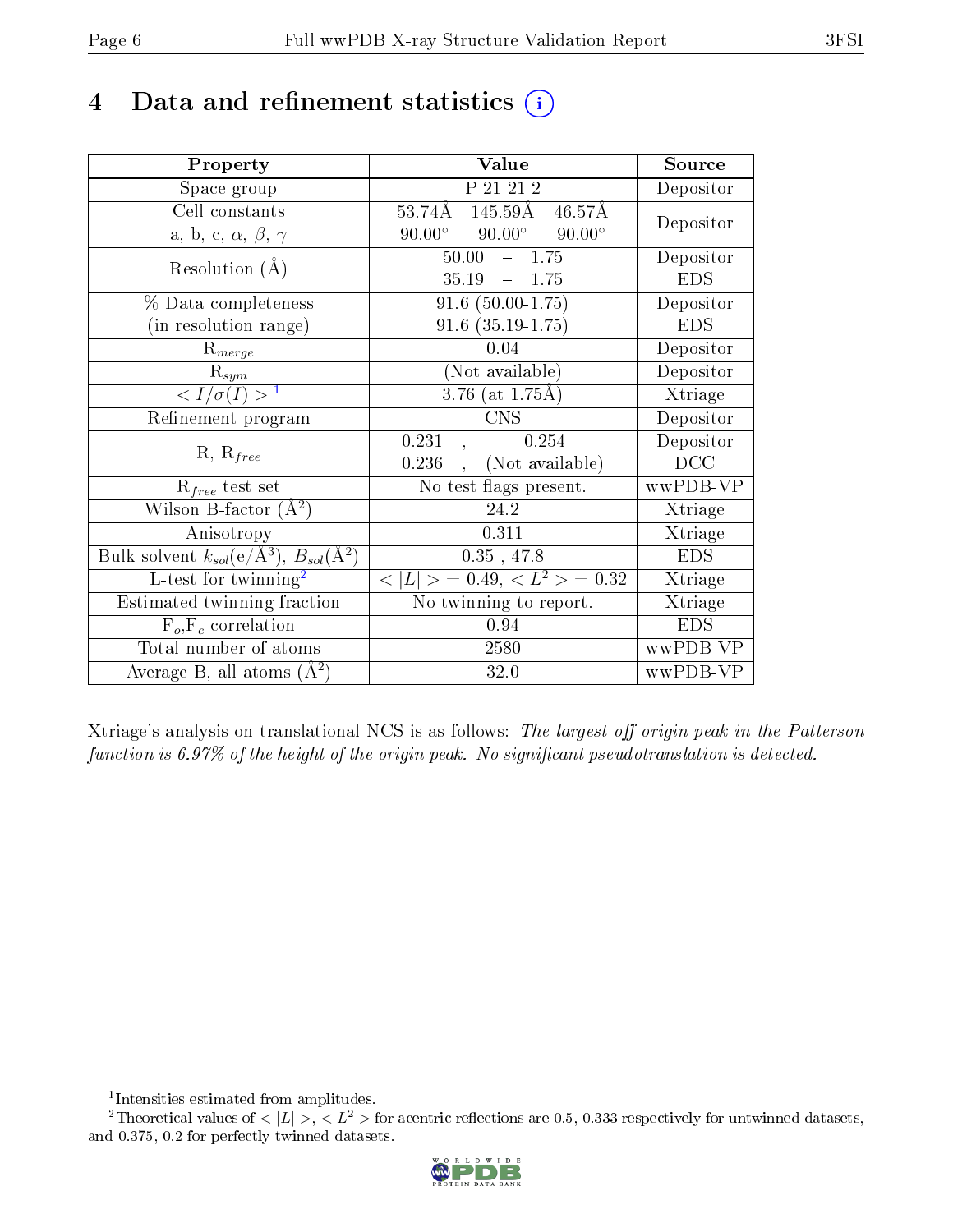## 4 Data and refinement statistics  $(i)$

| Property                                                         | Value                                                  | Source     |
|------------------------------------------------------------------|--------------------------------------------------------|------------|
| Space group                                                      | P 21 21 2                                              | Depositor  |
| Cell constants                                                   | $145.59\text{\AA}$ $46.57\text{\AA}$<br>53.74Å         | Depositor  |
| a, b, c, $\alpha$ , $\beta$ , $\gamma$                           | $90.00^\circ$<br>$90.00^{\circ}$<br>$90.00^\circ$      |            |
| Resolution $(A)$                                                 | 50.00<br>$-1.75$                                       | Depositor  |
|                                                                  | 35.19<br>$-1.75$                                       | <b>EDS</b> |
| % Data completeness                                              | $91.6(50.00-1.75)$                                     | Depositor  |
| (in resolution range)                                            | $91.6$ $(35.19-1.75)$                                  | <b>EDS</b> |
| $R_{merge}$                                                      | 0.04                                                   | Depositor  |
| $\mathrm{R}_{sym}$                                               | (Not available)                                        | Depositor  |
| $\sqrt{I/\sigma}(I) > 1$                                         | $3.76$ (at 1.75Å)                                      | Xtriage    |
| Refinement program                                               | <b>CNS</b>                                             | Depositor  |
|                                                                  | 0.254<br>0.231                                         | Depositor  |
| $R, R_{free}$                                                    | (Not available)<br>0.236                               | DCC        |
| $R_{free}$ test set                                              | No test flags present.                                 | wwPDB-VP   |
| Wilson B-factor $(A^2)$                                          | 24.2                                                   | Xtriage    |
| Anisotropy                                                       | 0.311                                                  | Xtriage    |
| Bulk solvent $k_{sol}(\text{e}/\text{A}^3), B_{sol}(\text{A}^2)$ | 0.35, 47.8                                             | <b>EDS</b> |
| L-test for $\mathrm{twinning}^2$                                 | $\overline{< L >$ = 0.49, $\overline{<}$ $L^2>$ = 0.32 | Xtriage    |
| Estimated twinning fraction                                      | No twinning to report.                                 | Xtriage    |
| $F_o, F_c$ correlation                                           | 0.94                                                   | <b>EDS</b> |
| Total number of atoms                                            | 2580                                                   | wwPDB-VP   |
| Average B, all atoms $(A^2)$                                     | 32.0                                                   | wwPDB-VP   |

Xtriage's analysis on translational NCS is as follows: The largest off-origin peak in the Patterson function is  $6.97\%$  of the height of the origin peak. No significant pseudotranslation is detected.

<sup>&</sup>lt;sup>2</sup>Theoretical values of  $\langle |L| \rangle$ ,  $\langle L^2 \rangle$  for acentric reflections are 0.5, 0.333 respectively for untwinned datasets, and 0.375, 0.2 for perfectly twinned datasets.



<span id="page-5-1"></span><span id="page-5-0"></span><sup>1</sup> Intensities estimated from amplitudes.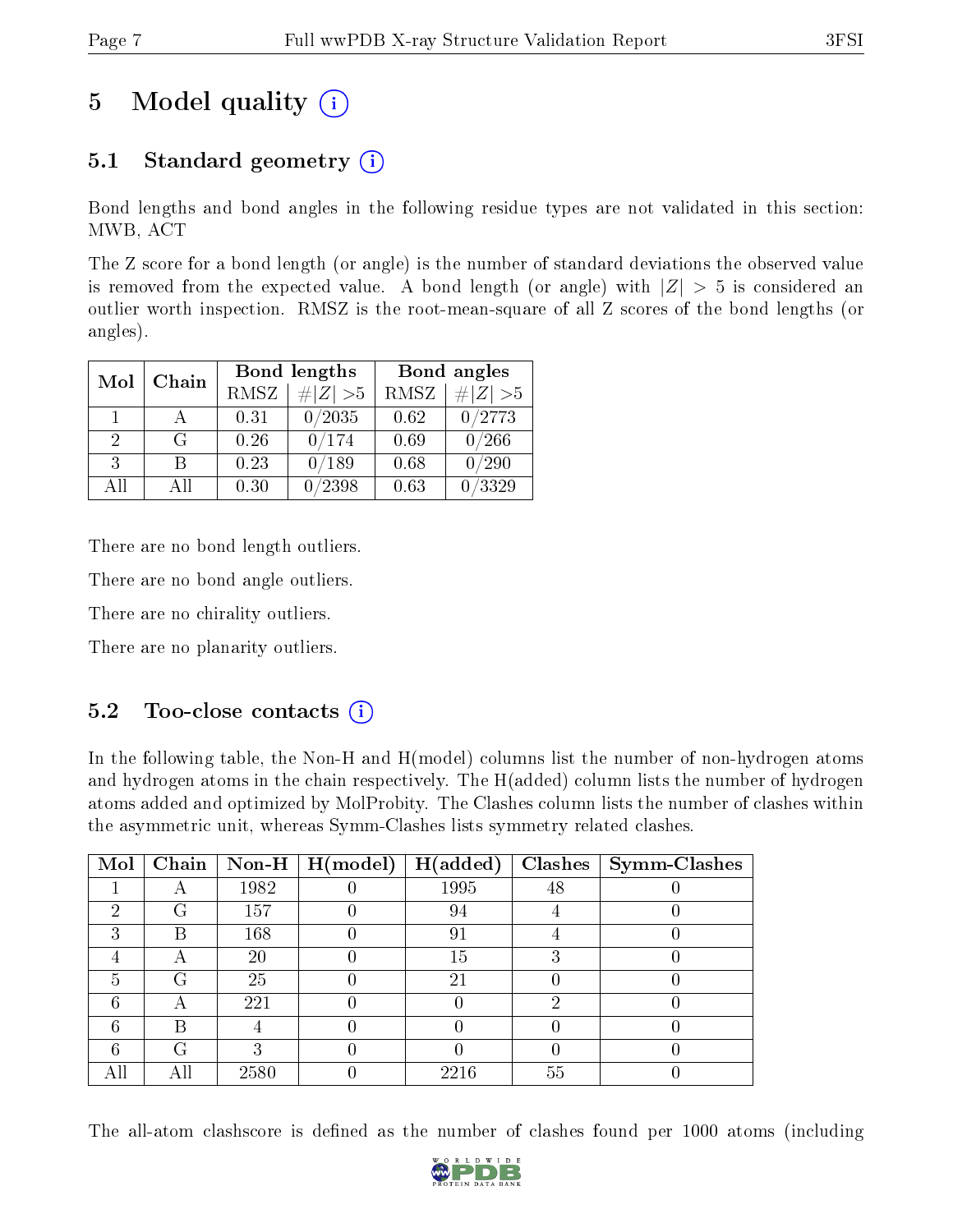# 5 Model quality  $(i)$

## 5.1 Standard geometry  $(i)$

Bond lengths and bond angles in the following residue types are not validated in this section: MWB, ACT

The Z score for a bond length (or angle) is the number of standard deviations the observed value is removed from the expected value. A bond length (or angle) with  $|Z| > 5$  is considered an outlier worth inspection. RMSZ is the root-mean-square of all Z scores of the bond lengths (or angles).

| Mol | Chain |             | Bond lengths                 | Bond angles |             |  |
|-----|-------|-------------|------------------------------|-------------|-------------|--|
|     |       | <b>RMSZ</b> | $\vert \# \vert Z \vert > 5$ | RMSZ        | # $ Z  > 5$ |  |
| 1   |       | 0.31        | 0/2035                       | 0.62        | 0/2773      |  |
| 2   | G     | 0.26        | 0/174                        | 0.69        | 0/266       |  |
| 3   | В     | 0.23        | 0/189                        | 0.68        | /290        |  |
| AĦ  | Αll   | 0.30        | /2398                        | 0.63        | /3329       |  |

There are no bond length outliers.

There are no bond angle outliers.

There are no chirality outliers.

There are no planarity outliers.

### $5.2$  Too-close contacts  $(i)$

In the following table, the Non-H and H(model) columns list the number of non-hydrogen atoms and hydrogen atoms in the chain respectively. The H(added) column lists the number of hydrogen atoms added and optimized by MolProbity. The Clashes column lists the number of clashes within the asymmetric unit, whereas Symm-Clashes lists symmetry related clashes.

| Mol |   |      | Chain   Non-H   $H (model)$ | H(added) |    | $Clashes$   Symm-Clashes |
|-----|---|------|-----------------------------|----------|----|--------------------------|
|     | A | 1982 |                             | 1995     | 48 |                          |
| 2   | G | 157  |                             | 94       |    |                          |
| ച   | B | 168  |                             | 91       |    |                          |
|     | А | 20   |                             | 15       |    |                          |
| 5   | G | 25   |                             | 21       |    |                          |
| 6   |   | 221  |                             |          |    |                          |
| 6   | В |      |                             |          |    |                          |
| 6   | G |      |                             |          |    |                          |
|     |   | 2580 |                             | 2216     | 55 |                          |

The all-atom clashscore is defined as the number of clashes found per 1000 atoms (including

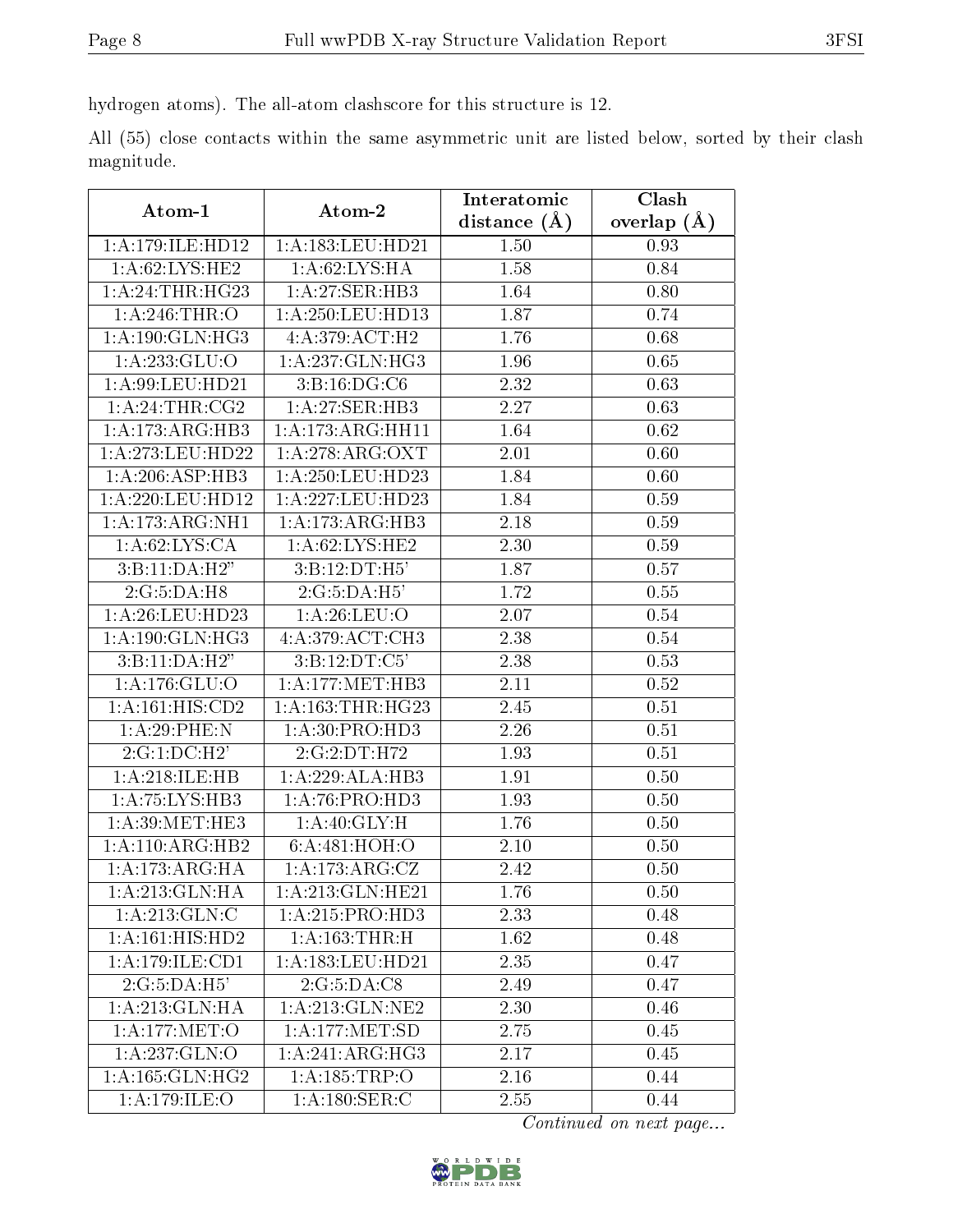hydrogen atoms). The all-atom clashscore for this structure is 12.

All (55) close contacts within the same asymmetric unit are listed below, sorted by their clash magnitude.

| Atom-1                       | Atom-2                               | Interatomic      | Clash         |  |
|------------------------------|--------------------------------------|------------------|---------------|--|
|                              |                                      | distance $(\AA)$ | overlap $(A)$ |  |
| 1: A:179: ILE: HD12          | 1:A:183:LEU:HD21                     | 1.50             | 0.93          |  |
| 1: A:62:LYS:HE2              | 1: A:62: LYS: HA                     | 1.58             | 0.84          |  |
| 1: A:24:THR:HG23             | 1:A:27:SER:HB3                       | 1.64             | 0.80          |  |
| 1:A:246:THR:O                | 1:A:250:LEU:HD13                     | 1.87             | 0.74          |  |
| 1: A: 190: GLN: HG3          | 4:A:379:ACT:H2                       | 1.76             | 0.68          |  |
| 1:A:233:GLU:O                | 1:A:237:GLN:HG3                      | 1.96             | 0.65          |  |
| 1: A:99: LEU: HD21           | 3: B: 16: DG: C6                     | 2.32             | 0.63          |  |
| 1:A:24:THR:CG2               | 1:A:27:SER:HB3                       | 2.27             | 0.63          |  |
| 1:A:173:ARG:HB3              | $1: A:173:A$ RG:HH11                 | 1.64             | 0.62          |  |
| 1:A:273:LEU:HD22             | 1: A:278: ARG: OXT                   | 2.01             | 0.60          |  |
| 1: A:206: ASP:HB3            | 1:A:250:LEU:HD23                     | 1.84             | 0.60          |  |
| 1:A:220:LEU:HD12             | 1:A:227:LEU:HD23                     | 1.84             | 0.59          |  |
| 1:A:173:ARG:NH1              | 1:A:173:ARG:HB3                      | 2.18             | 0.59          |  |
| 1: A:62: LYS:CA              | 1: A:62: LYS: HE2                    | 2.30             | 0.59          |  |
| 3: B: 11: DA: H2"            | 3:B:12:DT:H5'                        | 1.87             | 0.57          |  |
| 2:G:5:DA:H8                  | 2:G:5:DA:H5'                         | 1.72             | 0.55          |  |
| 1: A:26:LEU:HD23             | 1: A:26: LEU:O                       | 2.07             | 0.54          |  |
| 1:A:190:GLN:HG3              | 4:A:379:ACT:CH3                      | 2.38             | 0.54          |  |
| 3:B:11:DA:H2"                | 3: B: 12: DT: C5'                    | 2.38             | 0.53          |  |
| 1:A:176:GLU:O                | 1: A:177: MET:HB3                    | 2.11             | 0.52          |  |
| $1:A:\overline{161:HIS:CD2}$ | 1: A: 163: THR: HG23                 | 2.45             | 0.51          |  |
| 1:A:29:PHE:N                 | 1: A:30: PRO:HD3                     | 2.26             | 0.51          |  |
| 2:G:1:DC:H2'                 | 2:G:2:DT:H72                         | 1.93             | 0.51          |  |
| 1:A:218:ILE:HB               | 1:A:229:ALA:HB3                      | 1.91             | 0.50          |  |
| 1: A:75: LYS:HB3             | 1:A:76:PRO:HD3                       | 1.93             | 0.50          |  |
| 1: A:39:MET:HE3              | 1:A:40:GLY:H                         | 1.76             | 0.50          |  |
| 1:A:110:ARG:HB2              | 6:A:481:HOH:O                        | 2.10             | 0.50          |  |
| 1: A:173:ARG:HA              | 1:A:173:ARG:CZ                       | 2.42             | 0.50          |  |
| 1:A:213:GLN:HA               | 1:A:213:GLN:HE21                     | 1.76             | 0.50          |  |
| 1:A:213:GLN:C                | 1: A:215: PRO:HD3                    | 2.33             | 0.48          |  |
| 1:A:161:HIS:HD2              | 1:A:163:THR:H                        | 1.62             | 0.48          |  |
| 1:A:179:ILE:CD1              | 1:A:183:LEU:HD21                     | 2.35             | 0.47          |  |
| 2:G:5:DA:H5'                 | 2:G:5:DA:CS                          | 2.49             | 0.47          |  |
| 1:A:213:GLN:HA               | 1: A:213: GLN:NE2                    | 2.30             | 0.46          |  |
| 1:A:177:MET:O                | $1:A:177:\overline{\mathrm{MET:SD}}$ | 2.75             | 0.45          |  |
| 1:A:237:GLN:O                | 1:A:241:ARG:HG3                      | 2.17             | 0.45          |  |
| 1: A: 165: GLN: HG2          | 1:A:185:TRP:O                        | 2.16             | 0.44          |  |
| 1: A:179: ILE: O             | 1: A: 180: SER: C                    | 2.55             | 0.44          |  |

Continued on next page...

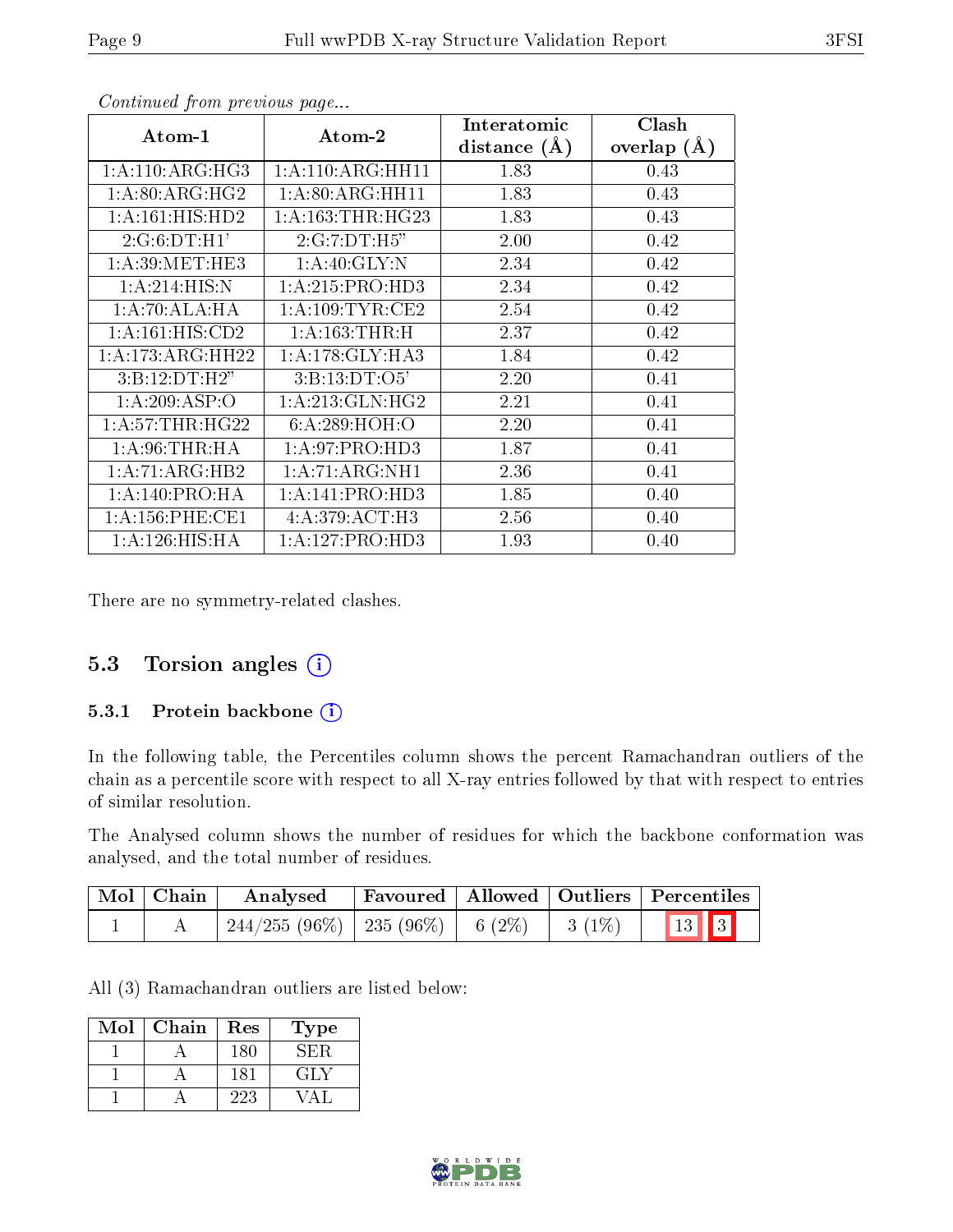| Atom-1                         | Atom-2               | Interatomic<br>distance $(\AA)$ | Clash<br>overlap $(A)$ |
|--------------------------------|----------------------|---------------------------------|------------------------|
| 1: A:110: ARG: HG3             | 1: A:110: ARG: HH11  | 1.83                            | 0.43                   |
| $1: A:80: ARG: H\overline{G2}$ | 1:A:80:ARG:HH11      | 1.83                            | 0.43                   |
| 1: A: 161: HIS: HD2            | 1: A: 163: THR: HG23 | 1.83                            | 0.43                   |
| 2:G:6:DT:H1'                   | 2:G:7:DT:H5"         | 2.00                            | 0.42                   |
| 1: A:39:MET:HE3                | 1:A:40:GLY:N         | 2.34                            | 0.42                   |
| 1:A:214:HIS:N                  | 1: A:215: PRO:HD3    | 2.34                            | 0.42                   |
| 1:A:70:ALA:HA                  | 1: A:109:TYR:CE2     | 2.54                            | 0.42                   |
| 1: A:161: HIS: CD2             | 1: A: 163: THEN:H    | 2.37                            | 0.42                   |
| 1: A:173: ARG: HH22            | 1:A:178:GLY:HA3      | 1.84                            | 0.42                   |
| 3: B: 12: DT:H2"               | 3: B: 13: DT: O5'    | 2.20                            | 0.41                   |
| 1:A:209:ASP:O                  | 1: A:213: GLN: HG2   | 2.21                            | 0.41                   |
| 1: A:57:THR:HG22               | 6: A:289: HOH:O      | 2.20                            | 0.41                   |
| 1: A:96:THR:HA                 | 1:A:97:PRO:HD3       | 1.87                            | 0.41                   |
| 1: A:71: ARG:HB2               | 1:A:71:ARG:NH1       | 2.36                            | 0.41                   |
| 1: A:140: PRO:HA               | 1:A:141:PRO:HD3      | 1.85                            | 0.40                   |
| 1: A:156:PHE:CE1               | 4:A:379:ACT:H3       | 2.56                            | 0.40                   |
| 1: A:126: HIS: HA              | 1: A: 127: PRO: HD3  | 1.93                            | 0.40                   |

Continued from previous page...

There are no symmetry-related clashes.

#### 5.3 Torsion angles (i)

#### 5.3.1 Protein backbone (i)

In the following table, the Percentiles column shows the percent Ramachandran outliers of the chain as a percentile score with respect to all X-ray entries followed by that with respect to entries of similar resolution.

The Analysed column shows the number of residues for which the backbone conformation was analysed, and the total number of residues.

| Mol Chain | Analysed                                          |  | Favoured   Allowed   Outliers   Percentiles |  |
|-----------|---------------------------------------------------|--|---------------------------------------------|--|
|           | $244/255 (96\%)$   235 (96\%)   6 (2\%)   3 (1\%) |  | 13 3                                        |  |

All (3) Ramachandran outliers are listed below:

| Mol | Chain | Res | Type  |
|-----|-------|-----|-------|
|     |       | 180 | NH)H  |
|     |       | 181 | 64 L. |
|     |       | 223 |       |

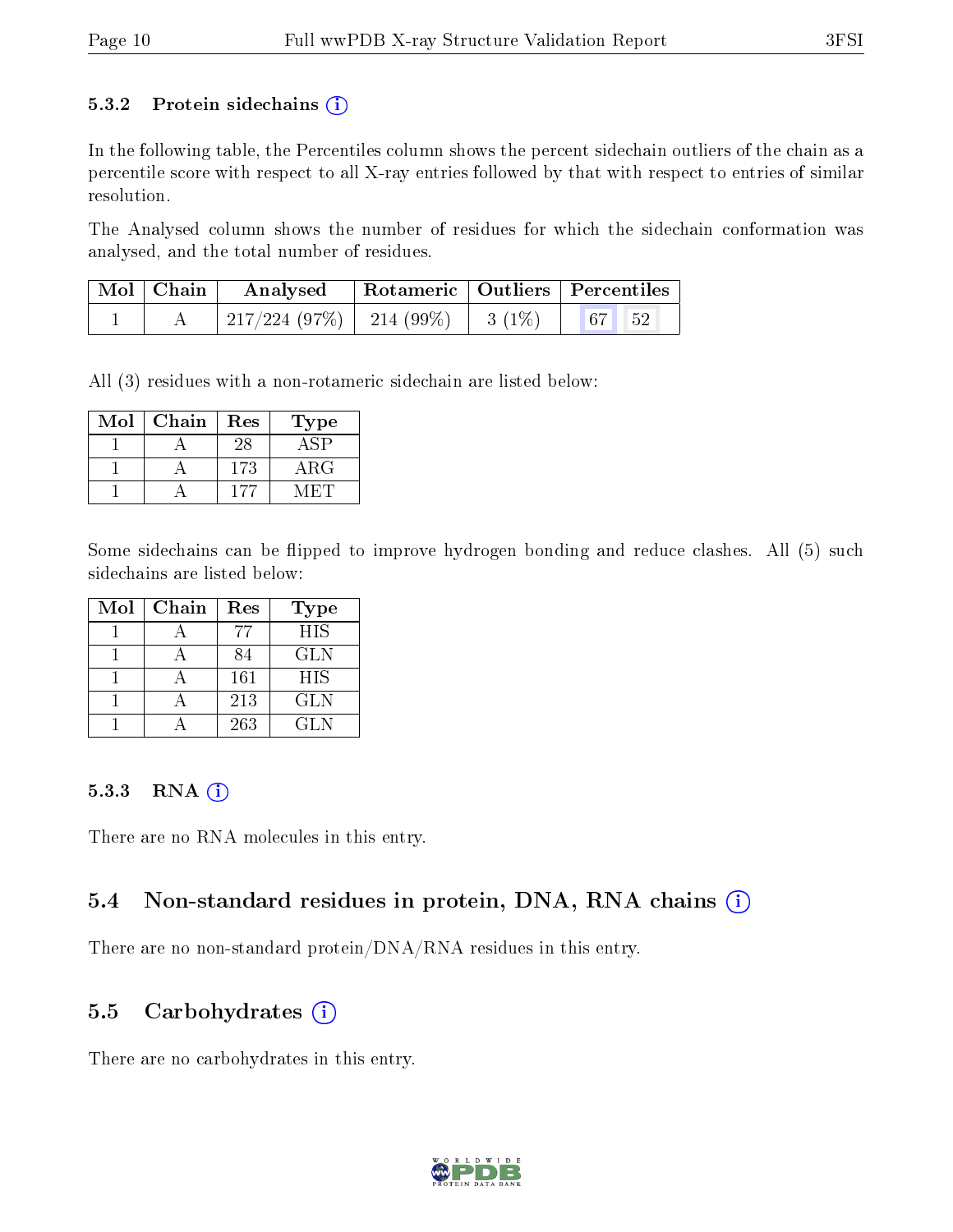#### 5.3.2 Protein sidechains  $(i)$

In the following table, the Percentiles column shows the percent sidechain outliers of the chain as a percentile score with respect to all X-ray entries followed by that with respect to entries of similar resolution.

The Analysed column shows the number of residues for which the sidechain conformation was analysed, and the total number of residues.

| $\mid$ Mol $\mid$ Chain $\mid$ | Analysed   Rotameric   Outliers   Percentiles |  |  |  |
|--------------------------------|-----------------------------------------------|--|--|--|
|                                | 217/224 (97%)   214 (99%)   3 (1%)   67   52  |  |  |  |

All (3) residues with a non-rotameric sidechain are listed below:

| $\operatorname{Mol}$ | Chain | $\operatorname{Res}% \left( \mathcal{N}\right) \equiv\operatorname{Res}(\mathcal{N}_{0})\cap\mathcal{N}_{1}$ | Type       |
|----------------------|-------|--------------------------------------------------------------------------------------------------------------|------------|
|                      |       | 28                                                                                                           |            |
|                      |       | 173                                                                                                          | $\rm{ARG}$ |
|                      |       |                                                                                                              |            |

Some sidechains can be flipped to improve hydrogen bonding and reduce clashes. All (5) such sidechains are listed below:

| Mol | Chain | Res | <b>Type</b> |
|-----|-------|-----|-------------|
|     |       | 77  | <b>HIS</b>  |
|     |       | 84  | <b>GLN</b>  |
|     |       | 161 | <b>HIS</b>  |
|     |       | 213 | <b>GLN</b>  |
|     |       | 263 | <b>GLN</b>  |

#### 5.3.3 RNA (i)

There are no RNA molecules in this entry.

### 5.4 Non-standard residues in protein, DNA, RNA chains  $(i)$

There are no non-standard protein/DNA/RNA residues in this entry.

#### 5.5 Carbohydrates  $(i)$

There are no carbohydrates in this entry.

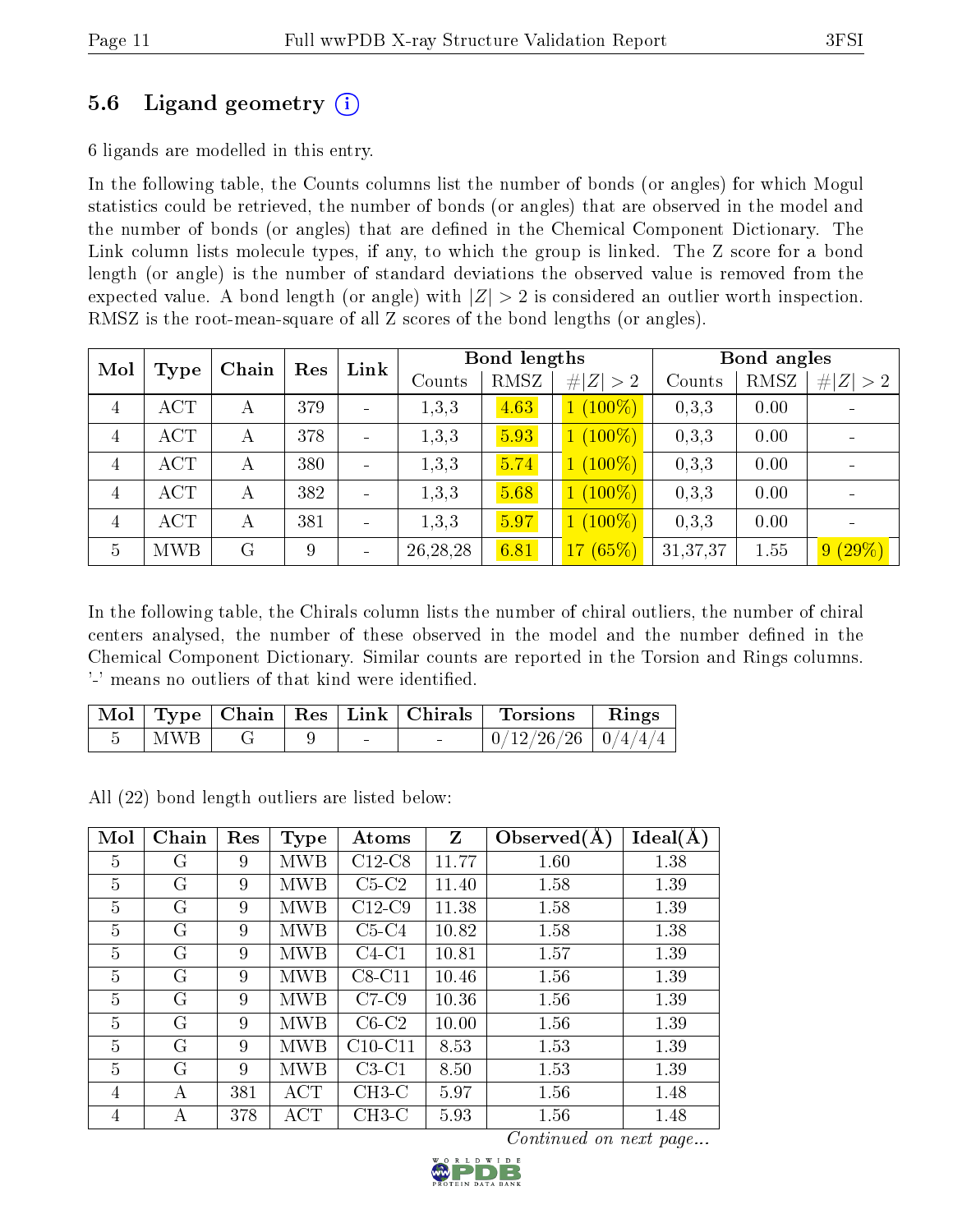### 5.6 Ligand geometry (i)

6 ligands are modelled in this entry.

In the following table, the Counts columns list the number of bonds (or angles) for which Mogul statistics could be retrieved, the number of bonds (or angles) that are observed in the model and the number of bonds (or angles) that are dened in the Chemical Component Dictionary. The Link column lists molecule types, if any, to which the group is linked. The Z score for a bond length (or angle) is the number of standard deviations the observed value is removed from the expected value. A bond length (or angle) with  $|Z| > 2$  is considered an outlier worth inspection. RMSZ is the root-mean-square of all Z scores of the bond lengths (or angles).

| Mol            | Type       | Chain | Res | $\mathop{\rm Link}\nolimits$ |            | Bond lengths |             |          | Bond angles |           |
|----------------|------------|-------|-----|------------------------------|------------|--------------|-------------|----------|-------------|-----------|
|                |            |       |     |                              | Counts     | RMSZ         | # $ Z  > 2$ | Counts   | RMSZ        | Z  > 2    |
| 4              | <b>ACT</b> | А     | 379 |                              | 1,3,3      | 4.63         | $1(100\%)$  | 0,3,3    | 0.00        |           |
| 4              | ACT        | А     | 378 |                              | 1, 3, 3    | 5.93         | $1(100\%)$  | 0,3,3    | 0.00        |           |
| $\overline{4}$ | ACT        | А     | 380 |                              | 1, 3, 3    | 5.74         | $1(100\%)$  | 0,3,3    | 0.00        |           |
| 4              | ACT        | А     | 382 |                              | 1, 3, 3    | 5.68         | $1(100\%)$  | 0,3,3    | 0.00        |           |
| 4              | ACT        | А     | 381 |                              | 1, 3, 3    | 5.97         | $1(100\%)$  | 0,3,3    | 0.00        |           |
| $\overline{5}$ | <b>MWB</b> | G     | 9   | $\overline{a}$               | 26, 28, 28 | 6.81         | 17(65%)     | 31,37,37 | 1.55        | $9(29\%)$ |

In the following table, the Chirals column lists the number of chiral outliers, the number of chiral centers analysed, the number of these observed in the model and the number defined in the Chemical Component Dictionary. Similar counts are reported in the Torsion and Rings columns. '-' means no outliers of that kind were identified.

|     |  |  | Mol   Type   Chain   Res   Link   Chirals   Torsions   Rings |  |
|-----|--|--|--------------------------------------------------------------|--|
| MWB |  |  | $0/12/26/26$   $0/4/4/4$                                     |  |

All (22) bond length outliers are listed below:

| Mol            | Chain | Res | <b>Type</b> | Atoms     | Z     | Observed $(A)$ | Ideal(A) |
|----------------|-------|-----|-------------|-----------|-------|----------------|----------|
| 5              | G     | 9   | MWB         | $C12-C8$  | 11.77 | 1.60           | 1.38     |
| $\overline{5}$ | G     | 9   | MWB         | $C5-C2$   | 11.40 | 1.58           | 1.39     |
| $\overline{5}$ | G     | 9   | MWB         | $C12-C9$  | 11.38 | 1.58           | 1.39     |
| 5              | G     | 9   | <b>MWB</b>  | $C5-C4$   | 10.82 | 1.58           | 1.38     |
| 5              | G     | 9   | MWB         | $C4-C1$   | 10.81 | 1.57           | 1.39     |
| 5              | G     | 9   | MWB         | $C8-C11$  | 10.46 | 1.56           | 1.39     |
| 5              | G     | 9   | MWB         | $C7-C9$   | 10.36 | 1.56           | 1.39     |
| 5              | G     | 9   | MWB         | $C6-C2$   | 10.00 | 1.56           | 1.39     |
| 5              | G     | 9   | MWB         | $C10-C11$ | 8.53  | 1.53           | 1.39     |
| 5              | G     | 9   | <b>MWB</b>  | $C3-C1$   | 8.50  | 1.53           | 1.39     |
| 4              | А     | 381 | ACT         | $CH3-C$   | 5.97  | 1.56           | 1.48     |
| 4              | А     | 378 | ACT         | $CH3-C$   | 5.93  | 1.56           | 1.48     |

Continued on next page...

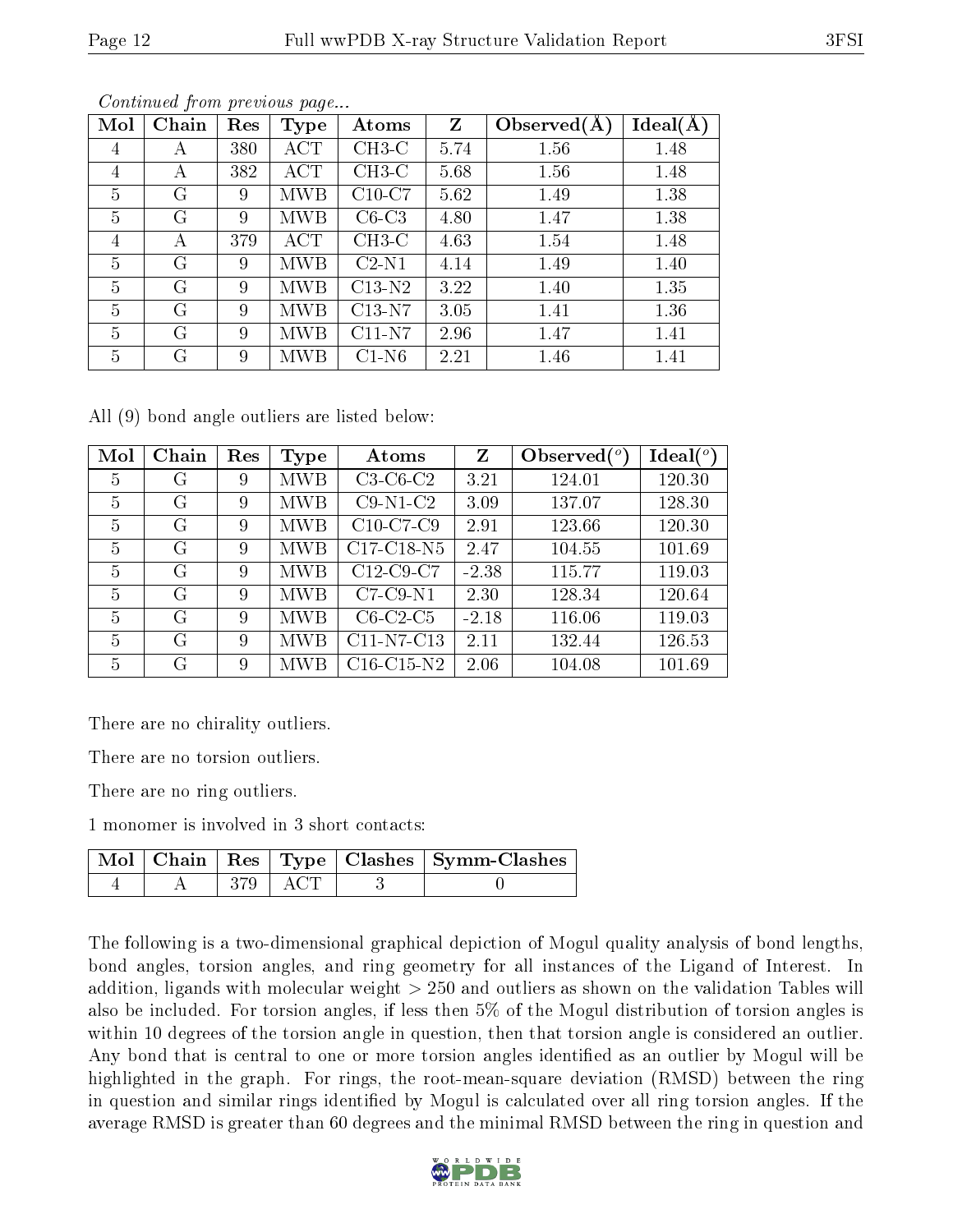| Mol            | Chain        | Res | <b>Type</b> | Atoms    | Z    | Observed $(A)$ | Ideal(A |
|----------------|--------------|-----|-------------|----------|------|----------------|---------|
| 4              | А            | 380 | <b>ACT</b>  | $CH3-C$  | 5.74 | 1.56           | 1.48    |
| 4              | А            | 382 | ACT         | $CH3-C$  | 5.68 | 1.56           | 1.48    |
| $\overline{5}$ | G            | 9   | MWB         | $C10-C7$ | 5.62 | 1.49           | 1.38    |
| 5              | G            | 9   | MWB         | $C6-C3$  | 4.80 | 1.47           | 1.38    |
| $\overline{4}$ | A            | 379 | ACT         | $CH3-C$  | 4.63 | 1.54           | 1.48    |
| $\overline{5}$ | $\mathcal G$ | 9   | MWB         | $C2-N1$  | 4.14 | 1.49           | 1.40    |
| $\overline{5}$ | G            | 9   | MWB         | $C13-N2$ | 3.22 | 1.40           | 1.35    |
| $\overline{5}$ | G            | 9   | MWB         | $C13-N7$ | 3.05 | 1.41           | 1.36    |
| 5              | G            | 9   | МWВ         | $C11-N7$ | 2.96 | 1.47           | 1.41    |
| $\overline{5}$ | G            | 9   | MWB         | $C1-N6$  | 2.21 | 1.46           | 1.41    |

Continued from previous page...

All (9) bond angle outliers are listed below:

| Mol            | Chain | Res | Type       | Atoms        | Z       | Observed $(°)$ | $\text{Ideal}({}^o)$ |
|----------------|-------|-----|------------|--------------|---------|----------------|----------------------|
| $\overline{5}$ | G     | 9   | <b>MWB</b> | $C3-C6-C2$   | 3.21    | 124.01         | 120.30               |
| 5              | G     | 9   | <b>MWB</b> | $C9-N1-C2$   | 3.09    | 137.07         | 128.30               |
| 5              | G     | 9   | <b>MWB</b> | $C10-C7-C9$  | 2.91    | 123.66         | 120.30               |
| 5              | G     | 9   | MWB        | C17-C18-N5   | 2.47    | 104.55         | 101.69               |
| 5              | G     | 9   | MWB        | $C12-C9-C7$  | $-2.38$ | 115.77         | 119.03               |
| 5              | G     | 9   | <b>MWB</b> | $C7-C9-N1$   | 2.30    | 128.34         | 120.64               |
| 5              | G     | 9   | <b>MWB</b> | $C6-C2-C5$   | $-2.18$ | 116.06         | 119.03               |
| 5              | G     | 9   | <b>MWB</b> | C11-N7-C13   | 2.11    | 132.44         | 126.53               |
| 5              | G     | 9   | MWB        | $C16-C15-N2$ | 2.06    | 104.08         | 101.69               |

There are no chirality outliers.

There are no torsion outliers.

There are no ring outliers.

1 monomer is involved in 3 short contacts:

|  |           | Mol   Chain   Res   Type   Clashes   Symm-Clashes |
|--|-----------|---------------------------------------------------|
|  | 379   ACT |                                                   |

The following is a two-dimensional graphical depiction of Mogul quality analysis of bond lengths, bond angles, torsion angles, and ring geometry for all instances of the Ligand of Interest. In addition, ligands with molecular weight > 250 and outliers as shown on the validation Tables will also be included. For torsion angles, if less then 5% of the Mogul distribution of torsion angles is within 10 degrees of the torsion angle in question, then that torsion angle is considered an outlier. Any bond that is central to one or more torsion angles identified as an outlier by Mogul will be highlighted in the graph. For rings, the root-mean-square deviation (RMSD) between the ring in question and similar rings identified by Mogul is calculated over all ring torsion angles. If the average RMSD is greater than 60 degrees and the minimal RMSD between the ring in question and

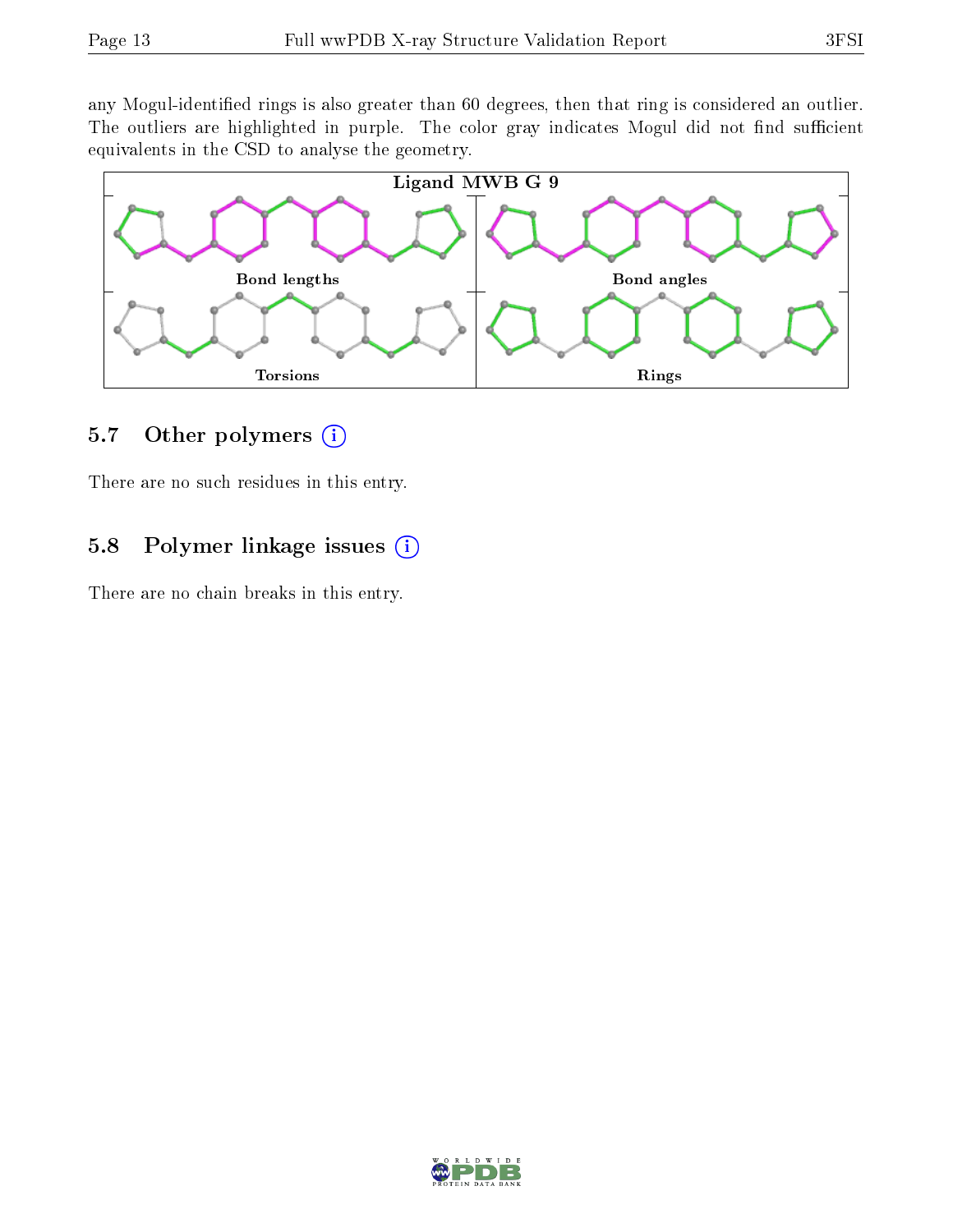any Mogul-identified rings is also greater than 60 degrees, then that ring is considered an outlier. The outliers are highlighted in purple. The color gray indicates Mogul did not find sufficient equivalents in the CSD to analyse the geometry.



### 5.7 [O](https://www.wwpdb.org/validation/2017/XrayValidationReportHelp#nonstandard_residues_and_ligands)ther polymers  $(i)$

There are no such residues in this entry.

### 5.8 Polymer linkage issues  $(i)$

There are no chain breaks in this entry.

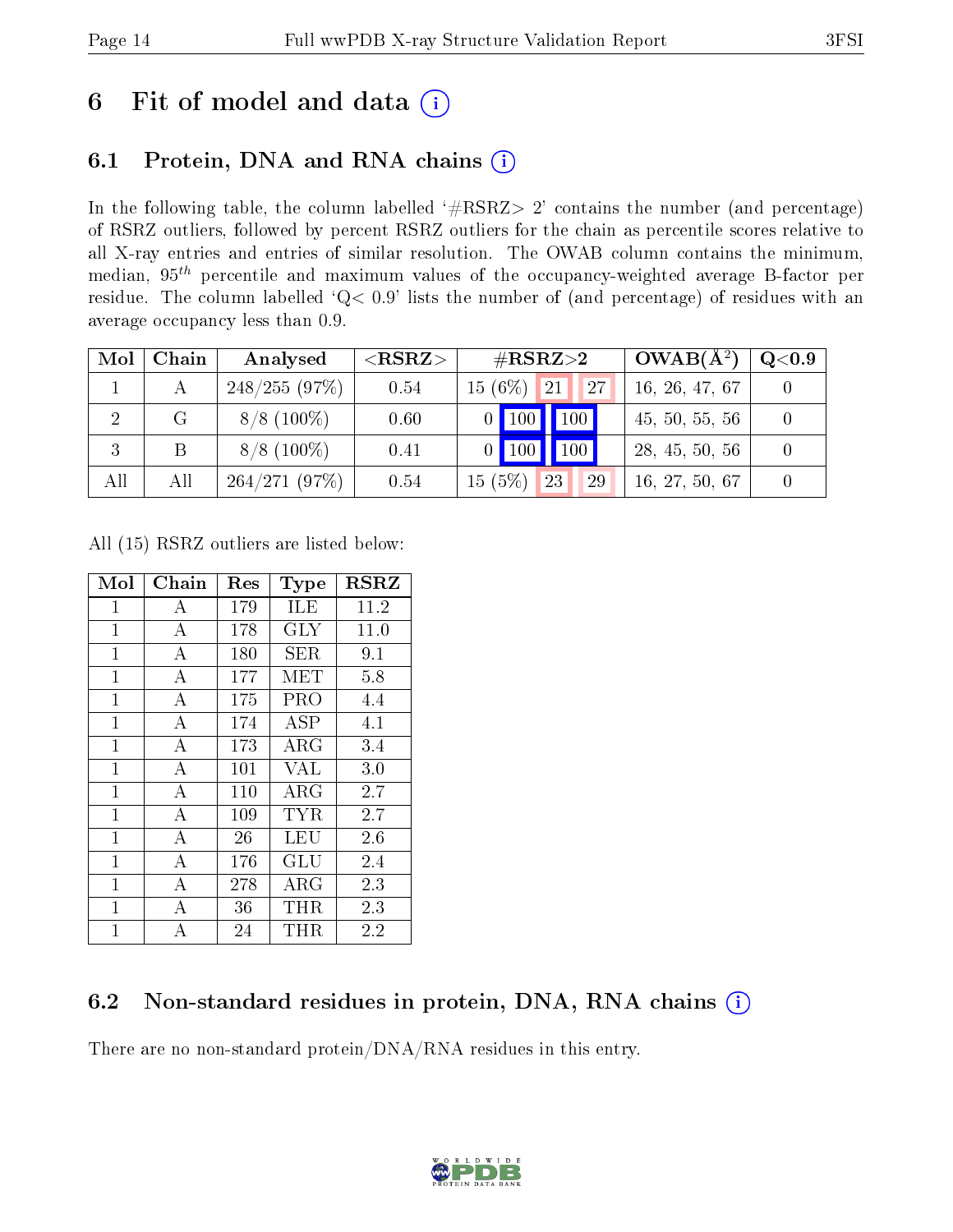# 6 Fit of model and data  $(i)$

## 6.1 Protein, DNA and RNA chains  $(i)$

In the following table, the column labelled  $#RSRZ> 2'$  contains the number (and percentage) of RSRZ outliers, followed by percent RSRZ outliers for the chain as percentile scores relative to all X-ray entries and entries of similar resolution. The OWAB column contains the minimum, median,  $95<sup>th</sup>$  percentile and maximum values of the occupancy-weighted average B-factor per residue. The column labelled ' $Q< 0.9$ ' lists the number of (and percentage) of residues with an average occupancy less than 0.9.

| Mol | Chain | Analysed      | ${ <\hspace{-1.5pt}{\mathrm{RSRZ}} \hspace{-1.5pt}>}$ | $\rm \#RSRZ{>}2$         | $OWAB(A^2)$    | Q <sub>0.9</sub> |
|-----|-------|---------------|-------------------------------------------------------|--------------------------|----------------|------------------|
|     |       | 248/255(97%)  | 0.54                                                  | $15(6\%)$ 21<br>27       | 16, 26, 47, 67 |                  |
|     | G     | $8/8$ (100\%) | 0.60                                                  | $\vert$ 100<br>$0$ 100   | 45, 50, 55, 56 |                  |
| 3   | B     | $8/8$ (100\%) | 0.41                                                  | $\vert$ 100<br>$0$   100 | 28, 45, 50, 56 |                  |
| All | All   | 264/271(97%)  | 0.54                                                  | 15(5%)<br> 23 <br>29     | 16, 27, 50, 67 |                  |

All (15) RSRZ outliers are listed below:

| Mol          | Chain            | $\operatorname{Res}% \left( \mathcal{N}\right) \equiv\operatorname{Res}(\mathcal{N}_{0},\mathcal{N}_{0})$ | Type                           | <b>RSRZ</b> |
|--------------|------------------|-----------------------------------------------------------------------------------------------------------|--------------------------------|-------------|
| $\mathbf{1}$ | A                | 179                                                                                                       | ILE                            | 11.2        |
| $\mathbf 1$  | А                | 178                                                                                                       | <b>GLY</b>                     | 11.0        |
| $\mathbf{1}$ | $\boldsymbol{A}$ | 180                                                                                                       | SER                            | 9.1         |
| $\mathbf 1$  | А                | 177                                                                                                       | MET                            | 5.8         |
| $\mathbf{1}$ | А                | 175                                                                                                       | <b>PRO</b>                     | 4.4         |
| $\mathbf{1}$ | $\boldsymbol{A}$ | 174                                                                                                       | $\overline{\text{A}}\text{SP}$ | 4.1         |
| $\mathbf 1$  | А                | 173                                                                                                       | ${\rm ARG}$                    | 3.4         |
| $\mathbf{1}$ | $\bf{A}$         | 101                                                                                                       | <b>VAL</b>                     | 3.0         |
| $\mathbf{1}$ | $\boldsymbol{A}$ | 110                                                                                                       | $\rm{ARG}$                     | 2.7         |
| $\mathbf 1$  | $\overline{A}$   | 109                                                                                                       | TYR                            | 2.7         |
| $\mathbf{1}$ | A                | 26                                                                                                        | LEU                            | 2.6         |
| $\mathbf{1}$ | $\overline{A}$   | 176                                                                                                       | GLU                            | 2.4         |
| $\mathbf 1$  | А                | 278                                                                                                       | $\rm{ARG}$                     | 2.3         |
| $\mathbf{1}$ | $\bf{A}$         | 36                                                                                                        | THR                            | 2.3         |
| $\mathbf{1}$ | A                | 24                                                                                                        | THR                            | 2.2         |

### 6.2 Non-standard residues in protein, DNA, RNA chains  $(i)$

There are no non-standard protein/DNA/RNA residues in this entry.

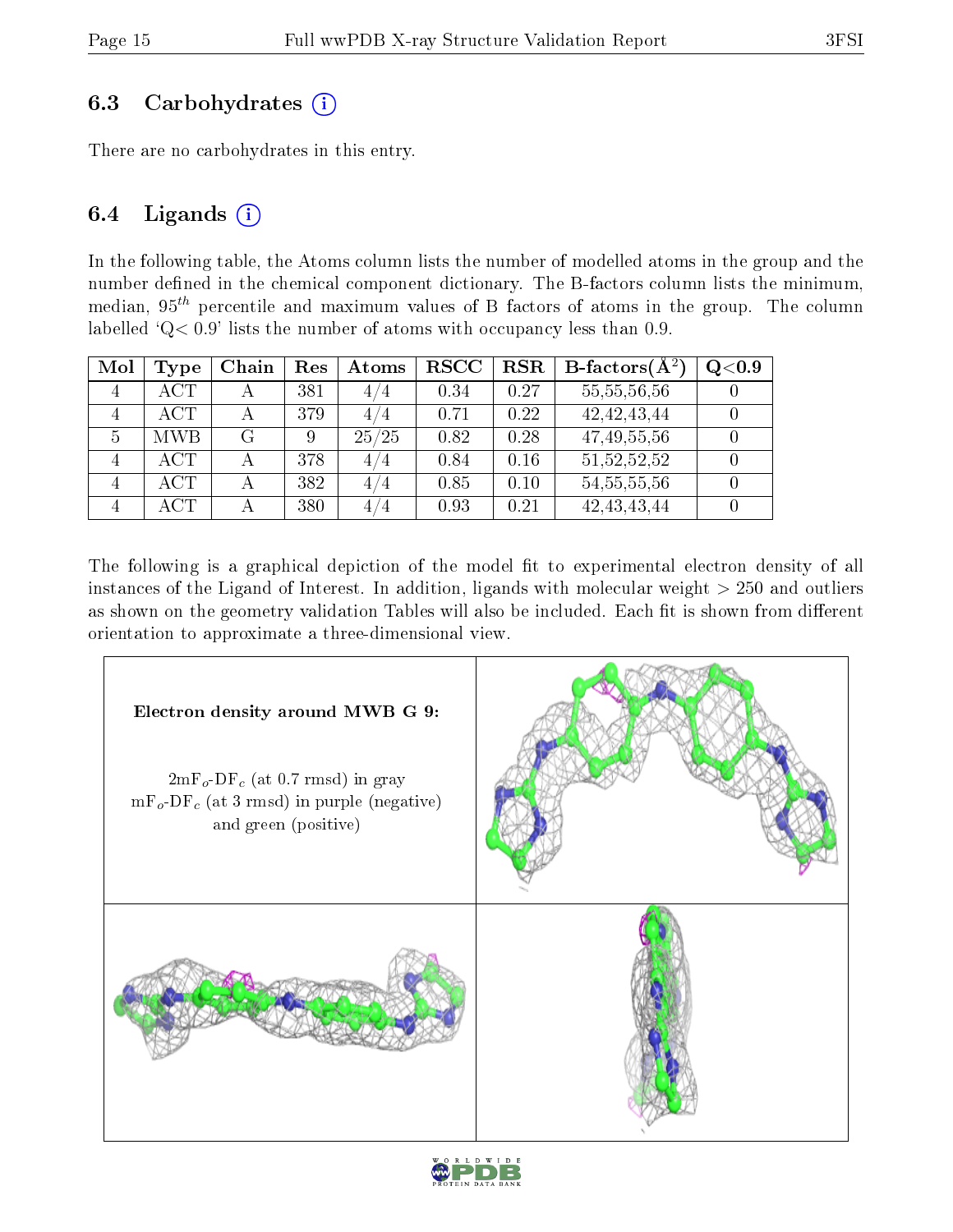### 6.3 Carbohydrates (i)

There are no carbohydrates in this entry.

### 6.4 Ligands  $(i)$

In the following table, the Atoms column lists the number of modelled atoms in the group and the number defined in the chemical component dictionary. The B-factors column lists the minimum, median,  $95<sup>th</sup>$  percentile and maximum values of B factors of atoms in the group. The column labelled 'Q< 0.9' lists the number of atoms with occupancy less than 0.9.

| Mol            | <b>Type</b> | Chain | Res | Atoms | <b>RSCC</b> | <b>RSR</b> | <b>B</b> -factors( $\overline{A^2}$ ) | Q <sub>0.9</sub> |
|----------------|-------------|-------|-----|-------|-------------|------------|---------------------------------------|------------------|
| $\overline{4}$ | <b>ACT</b>  |       | 381 | 4/4   | 0.34        | 0.27       | 55, 55, 56, 56                        |                  |
| $\overline{4}$ | <b>ACT</b>  |       | 379 | 4/4   | 0.71        | 0.22       | 42, 42, 43, 44                        |                  |
| 5              | <b>MWB</b>  | G     | 9   | 25/25 | 0.82        | 0.28       | 47, 49, 55, 56                        |                  |
|                | <b>ACT</b>  |       | 378 | 4/4   | 0.84        | 0.16       | 51, 52, 52, 52                        |                  |
|                | <b>ACT</b>  |       | 382 | 4/4   | 0.85        | 0.10       | 54, 55, 55, 56                        |                  |
|                | <b>ACT</b>  |       | 380 | 4/4   | 0.93        | 0.21       | 42, 43, 43, 44                        |                  |

The following is a graphical depiction of the model fit to experimental electron density of all instances of the Ligand of Interest. In addition, ligands with molecular weight  $> 250$  and outliers as shown on the geometry validation Tables will also be included. Each fit is shown from different orientation to approximate a three-dimensional view.